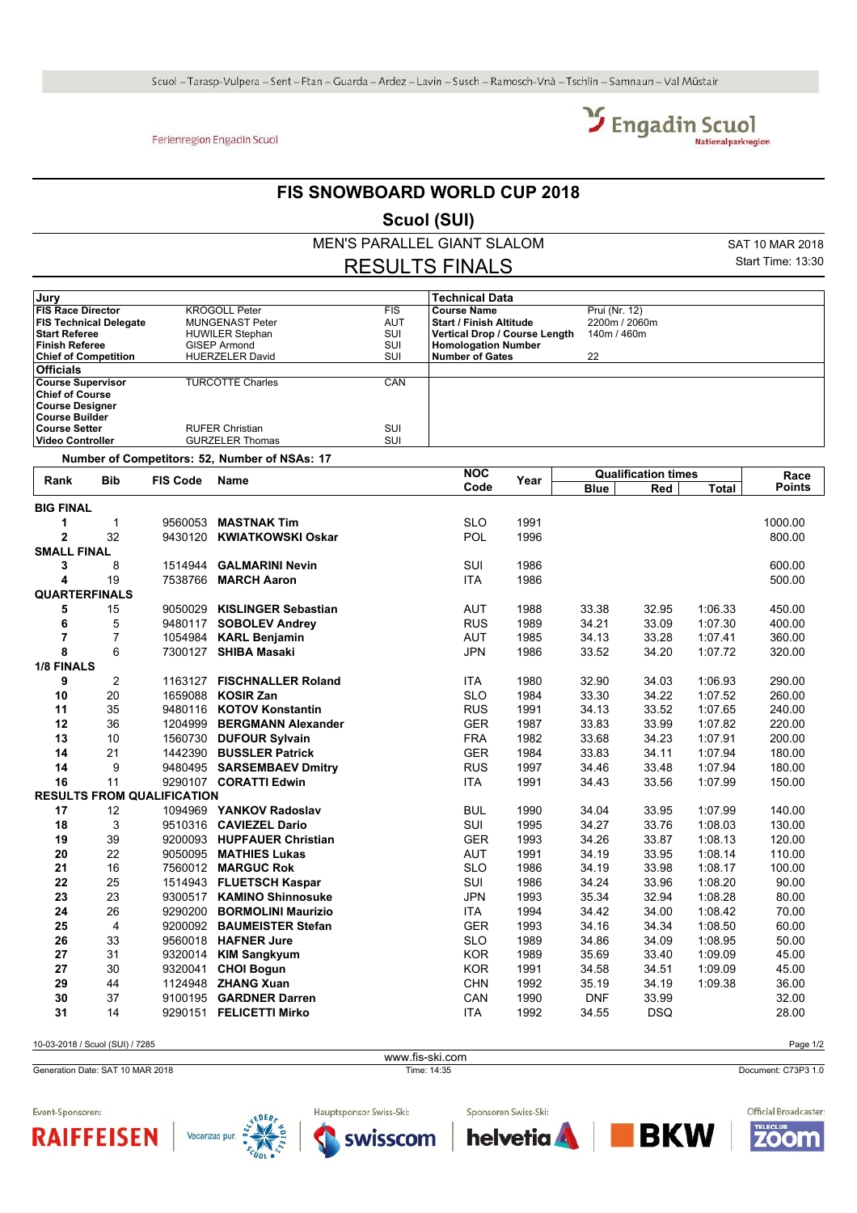## Ferienregion Engadin Scuol



## **FIS SNOWBOARD WORLD CUP 2018**

**Scuol (SUI)**

MEN'S PARALLEL GIANT SLALOM

SAT 10 MAR 2018 Start Time: 13:30

## RESULTS FINALS

| Jury                          |                        |            | <b>Technical Data</b>         |               |
|-------------------------------|------------------------|------------|-------------------------------|---------------|
| <b>FIS Race Director</b>      | <b>KROGOLL Peter</b>   | <b>FIS</b> | <b>Course Name</b>            | Prui (Nr. 12) |
| <b>FIS Technical Delegate</b> | <b>MUNGENAST Peter</b> | <b>AUT</b> | l Start / Finish Altitude     | 2200m / 2060m |
| <b>Start Referee</b>          | <b>HUWILER Stephan</b> | SUI        | Vertical Drop / Course Length | 140m / 460m   |
| <b>Finish Referee</b>         | <b>GISEP Armond</b>    | SUI        | <b>Homologation Number</b>    |               |
| <b>Chief of Competition</b>   | <b>HUERZELER David</b> | SUI        | <b>Number of Gates</b>        | 22            |
| <b>Officials</b>              |                        |            |                               |               |
| <b>Course Supervisor</b>      | TURCOTTE Charles       | CAN        |                               |               |
| <b>Chief of Course</b>        |                        |            |                               |               |
| Course Designer               |                        |            |                               |               |
| Course Builder                |                        |            |                               |               |
| ∣Course Setter                | <b>RUFER Christian</b> | SUI        |                               |               |
| ∣Video Controller             | <b>GURZELER Thomas</b> | SUI        |                               |               |

**Number of Competitors: 52, Number of NSAs: 17**

| Rank                 | <b>Bib</b>     | <b>FIS Code</b>                   | Name                        | <b>NOC</b> | Year | <b>Qualification times</b> |            |              | Race          |
|----------------------|----------------|-----------------------------------|-----------------------------|------------|------|----------------------------|------------|--------------|---------------|
|                      |                |                                   |                             | Code       |      | <b>Blue</b>                | Red        | <b>Total</b> | <b>Points</b> |
| <b>BIG FINAL</b>     |                |                                   |                             |            |      |                            |            |              |               |
| 1                    | $\mathbf 1$    | 9560053                           | <b>MASTNAK Tim</b>          | <b>SLO</b> | 1991 |                            |            |              | 1000.00       |
| $\overline{2}$       | 32             |                                   | 9430120 KWIATKOWSKI Oskar   | POL        | 1996 |                            |            |              | 800.00        |
| <b>SMALL FINAL</b>   |                |                                   |                             |            |      |                            |            |              |               |
| 3                    | 8              | 1514944                           | <b>GALMARINI Nevin</b>      | SUI        | 1986 |                            |            |              | 600.00        |
| 4                    | 19             |                                   | 7538766 MARCH Aaron         | <b>ITA</b> | 1986 |                            |            |              | 500.00        |
| <b>QUARTERFINALS</b> |                |                                   |                             |            |      |                            |            |              |               |
| 5                    | 15             |                                   | 9050029 KISLINGER Sebastian | <b>AUT</b> | 1988 | 33.38                      | 32.95      | 1:06.33      | 450.00        |
| 6                    | 5              |                                   | 9480117 SOBOLEV Andrey      | <b>RUS</b> | 1989 | 34.21                      | 33.09      | 1:07.30      | 400.00        |
| $\overline{7}$       | $\overline{7}$ |                                   | 1054984 KARL Benjamin       | <b>AUT</b> | 1985 | 34.13                      | 33.28      | 1:07.41      | 360.00        |
| 8                    | 6              |                                   | 7300127 SHIBA Masaki        | <b>JPN</b> | 1986 | 33.52                      | 34.20      | 1:07.72      | 320.00        |
| 1/8 FINALS           |                |                                   |                             |            |      |                            |            |              |               |
| 9                    | $\overline{2}$ | 1163127                           | <b>FISCHNALLER Roland</b>   | <b>ITA</b> | 1980 | 32.90                      | 34.03      | 1:06.93      | 290.00        |
| 10                   | 20             | 1659088                           | <b>KOSIR Zan</b>            | <b>SLO</b> | 1984 | 33.30                      | 34.22      | 1:07.52      | 260.00        |
| 11                   | 35             |                                   | 9480116 KOTOV Konstantin    | <b>RUS</b> | 1991 | 34.13                      | 33.52      | 1:07.65      | 240.00        |
| 12                   | 36             |                                   | 1204999 BERGMANN Alexander  | <b>GER</b> | 1987 | 33.83                      | 33.99      | 1:07.82      | 220.00        |
| 13                   | 10             |                                   | 1560730 DUFOUR Sylvain      | <b>FRA</b> | 1982 | 33.68                      | 34.23      | 1:07.91      | 200.00        |
| 14                   | 21             |                                   | 1442390 BUSSLER Patrick     | <b>GER</b> | 1984 | 33.83                      | 34.11      | 1:07.94      | 180.00        |
| 14                   | 9              |                                   | 9480495 SARSEMBAEV Dmitry   | <b>RUS</b> | 1997 | 34.46                      | 33.48      | 1:07.94      | 180.00        |
| 16                   | 11             |                                   | 9290107 CORATTI Edwin       | <b>ITA</b> | 1991 | 34.43                      | 33.56      | 1:07.99      | 150.00        |
|                      |                | <b>RESULTS FROM QUALIFICATION</b> |                             |            |      |                            |            |              |               |
| 17                   | 12             |                                   | 1094969 YANKOV Radoslav     | <b>BUL</b> | 1990 | 34.04                      | 33.95      | 1:07.99      | 140.00        |
| 18                   | 3              |                                   | 9510316 CAVIEZEL Dario      | SUI        | 1995 | 34.27                      | 33.76      | 1:08.03      | 130.00        |
| 19                   | 39             |                                   | 9200093 HUPFAUER Christian  | <b>GER</b> | 1993 | 34.26                      | 33.87      | 1:08.13      | 120.00        |
| 20                   | 22             | 9050095                           | <b>MATHIES Lukas</b>        | <b>AUT</b> | 1991 | 34.19                      | 33.95      | 1:08.14      | 110.00        |
| 21                   | 16             |                                   | 7560012 MARGUC Rok          | <b>SLO</b> | 1986 | 34.19                      | 33.98      | 1:08.17      | 100.00        |
| 22                   | 25             |                                   | 1514943 FLUETSCH Kaspar     | SUI        | 1986 | 34.24                      | 33.96      | 1:08.20      | 90.00         |
| 23                   | 23             |                                   | 9300517 KAMINO Shinnosuke   | <b>JPN</b> | 1993 | 35.34                      | 32.94      | 1:08.28      | 80.00         |
| 24                   | 26             |                                   | 9290200 BORMOLINI Maurizio  | <b>ITA</b> | 1994 | 34.42                      | 34.00      | 1:08.42      | 70.00         |
| 25                   | 4              |                                   | 9200092 BAUMEISTER Stefan   | <b>GER</b> | 1993 | 34.16                      | 34.34      | 1:08.50      | 60.00         |
| 26                   | 33             |                                   | 9560018 HAFNER Jure         | <b>SLO</b> | 1989 | 34.86                      | 34.09      | 1:08.95      | 50.00         |
| 27                   | 31             |                                   | 9320014 KIM Sangkyum        | <b>KOR</b> | 1989 | 35.69                      | 33.40      | 1:09.09      | 45.00         |
| 27                   | 30             | 9320041                           | <b>CHOI Bogun</b>           | <b>KOR</b> | 1991 | 34.58                      | 34.51      | 1:09.09      | 45.00         |
| 29                   | 44             |                                   | 1124948 ZHANG Xuan          | <b>CHN</b> | 1992 | 35.19                      | 34.19      | 1:09.38      | 36.00         |
| 30                   | 37             |                                   | 9100195 GARDNER Darren      | CAN        | 1990 | <b>DNF</b>                 | 33.99      |              | 32.00         |
| 31                   | 14             |                                   | 9290151 FELICETTI Mirko     | <b>ITA</b> | 1992 | 34.55                      | <b>DSQ</b> |              | 28.00         |
|                      |                |                                   |                             |            |      |                            |            |              |               |

10-03-2018 / Scuol (SUI) / 7285 Page 1/2

```
Generation Date: SAT 10 MAR 2018 Time: 14:35 Document: C73P3 1.0
                   www.fis-ski.com
```




Hauptsponsor Swiss-Ski: swisscom